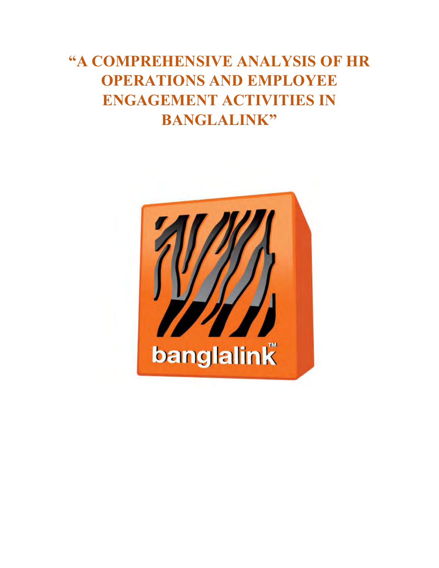# **"A COMPREHENSIVE ANALYSIS OF HR OPERATIONS AND EMPLOYEE ENGAGEMENT ACTIVITIES IN BANGLALINK"**

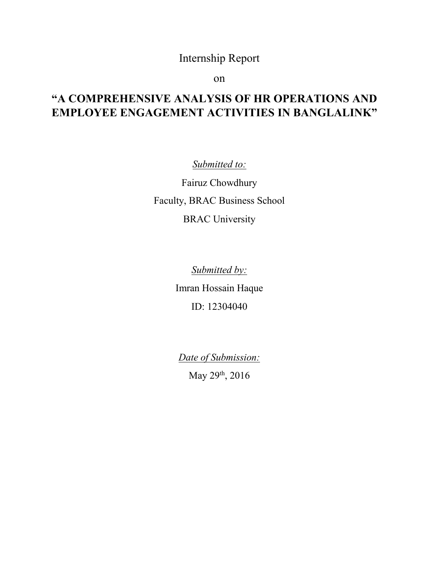## Internship Report

on

## **"A COMPREHENSIVE ANALYSIS OF HR OPERATIONS AND EMPLOYEE ENGAGEMENT ACTIVITIES IN BANGLALINK"**

*Submitted to:*

Fairuz Chowdhury Faculty, BRAC Business School BRAC University

*Submitted by:*

Imran Hossain Haque ID: 12304040

*Date of Submission:* 

May 29th, 2016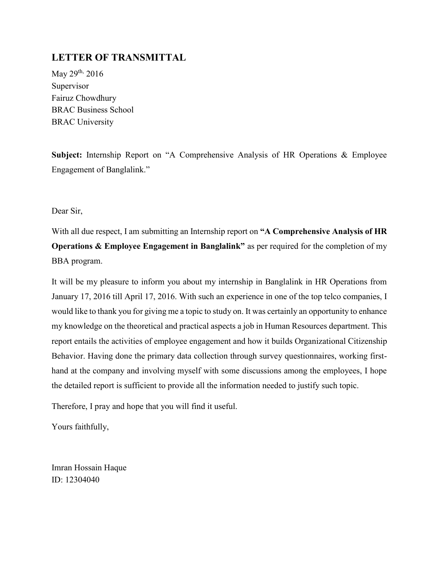## <span id="page-2-0"></span>**LETTER OF TRANSMITTAL**

May 29<sup>th,</sup> 2016 Supervisor Fairuz Chowdhury BRAC Business School BRAC University

**Subject:** Internship Report on "A Comprehensive Analysis of HR Operations & Employee Engagement of Banglalink."

Dear Sir,

With all due respect, I am submitting an Internship report on **"A Comprehensive Analysis of HR Operations & Employee Engagement in Banglalink"** as per required for the completion of my BBA program.

It will be my pleasure to inform you about my internship in Banglalink in HR Operations from January 17, 2016 till April 17, 2016. With such an experience in one of the top telco companies, I would like to thank you for giving me a topic to study on. It was certainly an opportunity to enhance my knowledge on the theoretical and practical aspects a job in Human Resources department. This report entails the activities of employee engagement and how it builds Organizational Citizenship Behavior. Having done the primary data collection through survey questionnaires, working firsthand at the company and involving myself with some discussions among the employees, I hope the detailed report is sufficient to provide all the information needed to justify such topic.

Therefore, I pray and hope that you will find it useful.

Yours faithfully,

Imran Hossain Haque ID: 12304040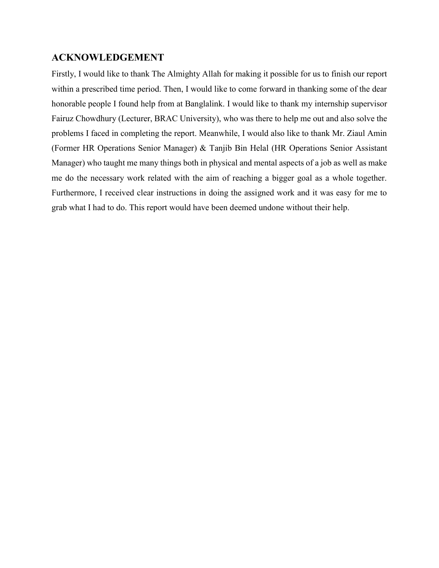## <span id="page-3-0"></span>**ACKNOWLEDGEMENT**

Firstly, I would like to thank The Almighty Allah for making it possible for us to finish our report within a prescribed time period. Then, I would like to come forward in thanking some of the dear honorable people I found help from at Banglalink. I would like to thank my internship supervisor Fairuz Chowdhury (Lecturer, BRAC University), who was there to help me out and also solve the problems I faced in completing the report. Meanwhile, I would also like to thank Mr. Ziaul Amin (Former HR Operations Senior Manager) & Tanjib Bin Helal (HR Operations Senior Assistant Manager) who taught me many things both in physical and mental aspects of a job as well as make me do the necessary work related with the aim of reaching a bigger goal as a whole together. Furthermore, I received clear instructions in doing the assigned work and it was easy for me to grab what I had to do. This report would have been deemed undone without their help.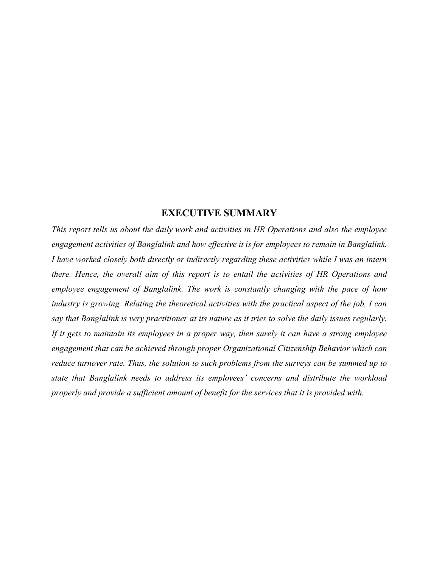## **EXECUTIVE SUMMARY**

<span id="page-4-0"></span>*This report tells us about the daily work and activities in HR Operations and also the employee engagement activities of Banglalink and how effective it is for employees to remain in Banglalink. I have worked closely both directly or indirectly regarding these activities while I was an intern there. Hence, the overall aim of this report is to entail the activities of HR Operations and employee engagement of Banglalink. The work is constantly changing with the pace of how industry is growing. Relating the theoretical activities with the practical aspect of the job, I can say that Banglalink is very practitioner at its nature as it tries to solve the daily issues regularly. If it gets to maintain its employees in a proper way, then surely it can have a strong employee engagement that can be achieved through proper Organizational Citizenship Behavior which can reduce turnover rate. Thus, the solution to such problems from the surveys can be summed up to state that Banglalink needs to address its employees' concerns and distribute the workload properly and provide a sufficient amount of benefit for the services that it is provided with.*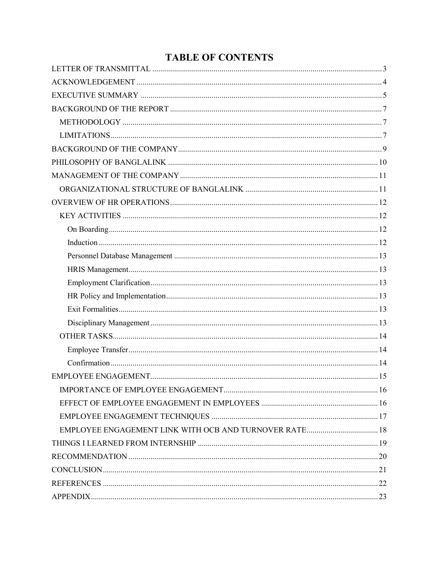## **TABLE OF CONTENTS**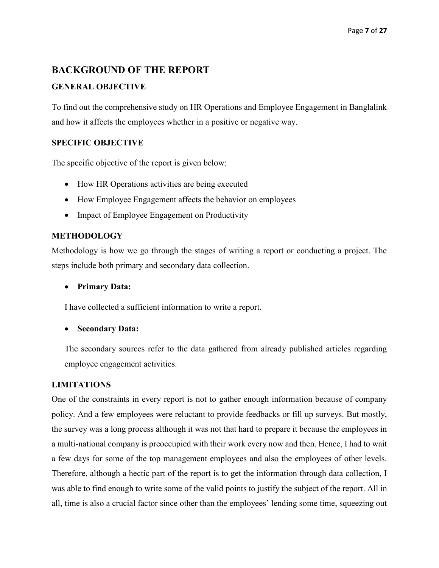## <span id="page-6-0"></span>**BACKGROUND OF THE REPORT**

#### **GENERAL OBJECTIVE**

To find out the comprehensive study on HR Operations and Employee Engagement in Banglalink and how it affects the employees whether in a positive or negative way.

#### **SPECIFIC OBJECTIVE**

The specific objective of the report is given below:

- How HR Operations activities are being executed
- How Employee Engagement affects the behavior on employees
- Impact of Employee Engagement on Productivity

#### <span id="page-6-1"></span>**METHODOLOGY**

Methodology is how we go through the stages of writing a report or conducting a project. The steps include both primary and secondary data collection.

**Primary Data:**

I have collected a sufficient information to write a report.

**Secondary Data:** 

The secondary sources refer to the data gathered from already published articles regarding employee engagement activities.

#### <span id="page-6-2"></span>**LIMITATIONS**

One of the constraints in every report is not to gather enough information because of company policy. And a few employees were reluctant to provide feedbacks or fill up surveys. But mostly, the survey was a long process although it was not that hard to prepare it because the employees in a multi-national company is preoccupied with their work every now and then. Hence, I had to wait a few days for some of the top management employees and also the employees of other levels. Therefore, although a hectic part of the report is to get the information through data collection, I was able to find enough to write some of the valid points to justify the subject of the report. All in all, time is also a crucial factor since other than the employees' lending some time, squeezing out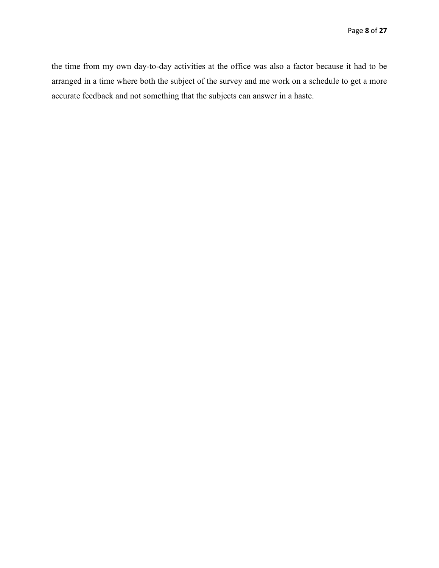the time from my own day-to-day activities at the office was also a factor because it had to be arranged in a time where both the subject of the survey and me work on a schedule to get a more accurate feedback and not something that the subjects can answer in a haste.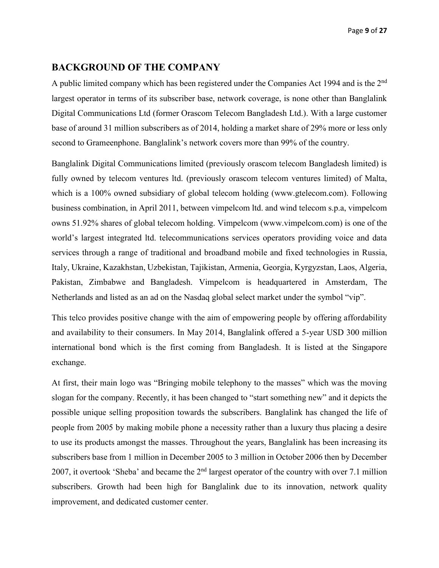### <span id="page-8-0"></span>**BACKGROUND OF THE COMPANY**

A public limited company which has been registered under the Companies Act 1994 and is the 2nd largest operator in terms of its subscriber base, network coverage, is none other than Banglalink Digital Communications Ltd (former Orascom Telecom Bangladesh Ltd.). With a large customer base of around 31 million subscribers as of 2014, holding a market share of 29% more or less only second to Grameenphone. Banglalink's network covers more than 99% of the country.

Banglalink Digital Communications limited (previously orascom telecom Bangladesh limited) is fully owned by telecom ventures ltd. (previously orascom telecom ventures limited) of Malta, which is a 100% owned subsidiary of global telecom holding (www.gtelecom.com). Following business combination, in April 2011, between vimpelcom ltd. and wind telecom s.p.a, vimpelcom owns 51.92% shares of global telecom holding. Vimpelcom (www.vimpelcom.com) is one of the world's largest integrated ltd. telecommunications services operators providing voice and data services through a range of traditional and broadband mobile and fixed technologies in Russia, Italy, Ukraine, Kazakhstan, Uzbekistan, Tajikistan, Armenia, Georgia, Kyrgyzstan, Laos, Algeria, Pakistan, Zimbabwe and Bangladesh. Vimpelcom is headquartered in Amsterdam, The Netherlands and listed as an ad on the Nasdaq global select market under the symbol "vip".

This telco provides positive change with the aim of empowering people by offering affordability and availability to their consumers. In May 2014, Banglalink offered a 5-year USD 300 million international bond which is the first coming from Bangladesh. It is listed at the Singapore exchange.

At first, their main logo was "Bringing mobile telephony to the masses" which was the moving slogan for the company. Recently, it has been changed to "start something new" and it depicts the possible unique selling proposition towards the subscribers. Banglalink has changed the life of people from 2005 by making mobile phone a necessity rather than a luxury thus placing a desire to use its products amongst the masses. Throughout the years, Banglalink has been increasing its subscribers base from 1 million in December 2005 to 3 million in October 2006 then by December 2007, it overtook 'Sheba' and became the 2nd largest operator of the country with over 7.1 million subscribers. Growth had been high for Banglalink due to its innovation, network quality improvement, and dedicated customer center.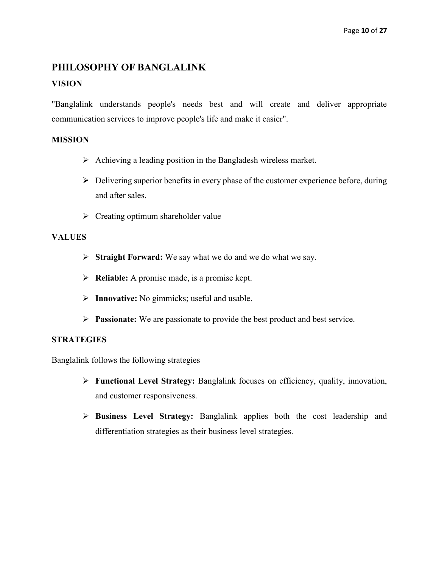## <span id="page-9-0"></span>**PHILOSOPHY OF BANGLALINK**

## **VISION**

"Banglalink understands people's needs best and will create and deliver appropriate communication services to improve people's life and make it easier".

#### **MISSION**

- $\triangleright$  Achieving a leading position in the Bangladesh wireless market.
- $\triangleright$  Delivering superior benefits in every phase of the customer experience before, during and after sales.
- $\triangleright$  Creating optimum shareholder value

#### **VALUES**

- **Straight Forward:** We say what we do and we do what we say.
- **Reliable:** A promise made, is a promise kept.
- **Innovative:** No gimmicks; useful and usable.
- **Passionate:** We are passionate to provide the best product and best service.

#### **STRATEGIES**

Banglalink follows the following strategies

- **Functional Level Strategy:** Banglalink focuses on efficiency, quality, innovation, and customer responsiveness.
- **Business Level Strategy:** Banglalink applies both the cost leadership and differentiation strategies as their business level strategies.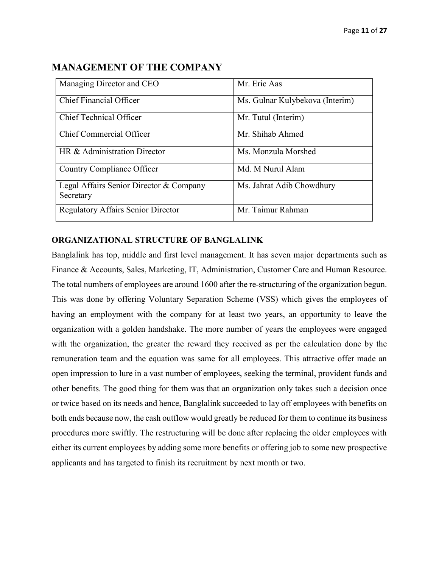| Managing Director and CEO                            | Mr. Eric Aas                    |
|------------------------------------------------------|---------------------------------|
| <b>Chief Financial Officer</b>                       | Ms. Gulnar Kulybekova (Interim) |
| <b>Chief Technical Officer</b>                       | Mr. Tutul (Interim)             |
| Chief Commercial Officer                             | Mr. Shihab Ahmed                |
| HR & Administration Director                         | Ms. Monzula Morshed             |
| Country Compliance Officer                           | Md. M Nurul Alam                |
| Legal Affairs Senior Director & Company<br>Secretary | Ms. Jahrat Adib Chowdhury       |
| <b>Regulatory Affairs Senior Director</b>            | Mr. Taimur Rahman               |

## <span id="page-10-0"></span>**MANAGEMENT OF THE COMPANY**

#### <span id="page-10-1"></span>**ORGANIZATIONAL STRUCTURE OF BANGLALINK**

Banglalink has top, middle and first level management. It has seven major departments such as Finance & Accounts, Sales, Marketing, IT, Administration, Customer Care and Human Resource. The total numbers of employees are around 1600 after the re-structuring of the organization begun. This was done by offering Voluntary Separation Scheme (VSS) which gives the employees of having an employment with the company for at least two years, an opportunity to leave the organization with a golden handshake. The more number of years the employees were engaged with the organization, the greater the reward they received as per the calculation done by the remuneration team and the equation was same for all employees. This attractive offer made an open impression to lure in a vast number of employees, seeking the terminal, provident funds and other benefits. The good thing for them was that an organization only takes such a decision once or twice based on its needs and hence, Banglalink succeeded to lay off employees with benefits on both ends because now, the cash outflow would greatly be reduced for them to continue its business procedures more swiftly. The restructuring will be done after replacing the older employees with either its current employees by adding some more benefits or offering job to some new prospective applicants and has targeted to finish its recruitment by next month or two.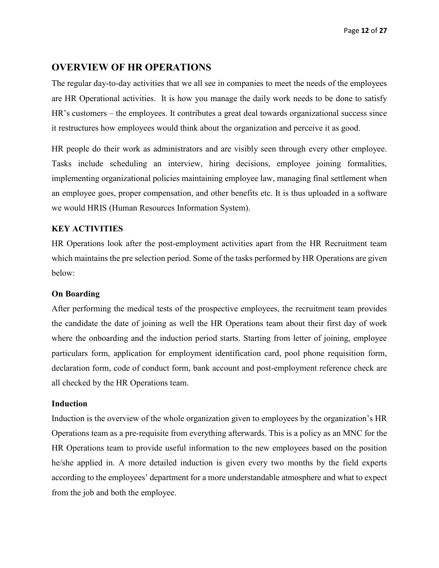## <span id="page-11-0"></span>**OVERVIEW OF HR OPERATIONS**

The regular day-to-day activities that we all see in companies to meet the needs of the employees are HR Operational activities. It is how you manage the daily work needs to be done to satisfy HR's customers – the employees. It contributes a great deal towards organizational success since it restructures how employees would think about the organization and perceive it as good.

HR people do their work as administrators and are visibly seen through every other employee. Tasks include scheduling an interview, hiring decisions, employee joining formalities, implementing organizational policies maintaining employee law, managing final settlement when an employee goes, proper compensation, and other benefits etc. It is thus uploaded in a software we would HRIS (Human Resources Information System).

#### <span id="page-11-1"></span>**KEY ACTIVITIES**

HR Operations look after the post-employment activities apart from the HR Recruitment team which maintains the pre selection period. Some of the tasks performed by HR Operations are given below:

#### <span id="page-11-2"></span>**On Boarding**

After performing the medical tests of the prospective employees, the recruitment team provides the candidate the date of joining as well the HR Operations team about their first day of work where the onboarding and the induction period starts. Starting from letter of joining, employee particulars form, application for employment identification card, pool phone requisition form, declaration form, code of conduct form, bank account and post-employment reference check are all checked by the HR Operations team.

#### <span id="page-11-3"></span>**Induction**

Induction is the overview of the whole organization given to employees by the organization's HR Operations team as a pre-requisite from everything afterwards. This is a policy as an MNC for the HR Operations team to provide useful information to the new employees based on the position he/she applied in. A more detailed induction is given every two months by the field experts according to the employees' department for a more understandable atmosphere and what to expect from the job and both the employee.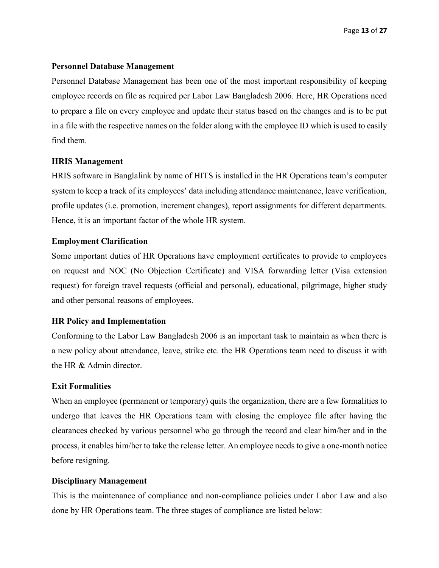#### <span id="page-12-0"></span>**Personnel Database Management**

Personnel Database Management has been one of the most important responsibility of keeping employee records on file as required per Labor Law Bangladesh 2006. Here, HR Operations need to prepare a file on every employee and update their status based on the changes and is to be put in a file with the respective names on the folder along with the employee ID which is used to easily find them.

#### <span id="page-12-1"></span>**HRIS Management**

HRIS software in Banglalink by name of HITS is installed in the HR Operations team's computer system to keep a track of its employees' data including attendance maintenance, leave verification, profile updates (i.e. promotion, increment changes), report assignments for different departments. Hence, it is an important factor of the whole HR system.

#### <span id="page-12-2"></span>**Employment Clarification**

Some important duties of HR Operations have employment certificates to provide to employees on request and NOC (No Objection Certificate) and VISA forwarding letter (Visa extension request) for foreign travel requests (official and personal), educational, pilgrimage, higher study and other personal reasons of employees.

#### <span id="page-12-3"></span>**HR Policy and Implementation**

Conforming to the Labor Law Bangladesh 2006 is an important task to maintain as when there is a new policy about attendance, leave, strike etc. the HR Operations team need to discuss it with the HR & Admin director.

#### <span id="page-12-4"></span>**Exit Formalities**

When an employee (permanent or temporary) quits the organization, there are a few formalities to undergo that leaves the HR Operations team with closing the employee file after having the clearances checked by various personnel who go through the record and clear him/her and in the process, it enables him/her to take the release letter. An employee needs to give a one-month notice before resigning.

#### <span id="page-12-5"></span>**Disciplinary Management**

This is the maintenance of compliance and non-compliance policies under Labor Law and also done by HR Operations team. The three stages of compliance are listed below: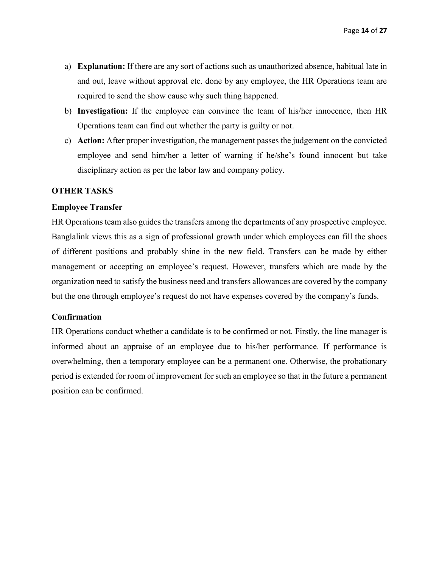- a) **Explanation:** If there are any sort of actions such as unauthorized absence, habitual late in and out, leave without approval etc. done by any employee, the HR Operations team are required to send the show cause why such thing happened.
- b) **Investigation:** If the employee can convince the team of his/her innocence, then HR Operations team can find out whether the party is guilty or not.
- c) **Action:** After proper investigation, the management passes the judgement on the convicted employee and send him/her a letter of warning if he/she's found innocent but take disciplinary action as per the labor law and company policy.

#### <span id="page-13-0"></span>**OTHER TASKS**

#### <span id="page-13-1"></span>**Employee Transfer**

HR Operations team also guides the transfers among the departments of any prospective employee. Banglalink views this as a sign of professional growth under which employees can fill the shoes of different positions and probably shine in the new field. Transfers can be made by either management or accepting an employee's request. However, transfers which are made by the organization need to satisfy the business need and transfers allowances are covered by the company but the one through employee's request do not have expenses covered by the company's funds.

#### <span id="page-13-2"></span>**Confirmation**

HR Operations conduct whether a candidate is to be confirmed or not. Firstly, the line manager is informed about an appraise of an employee due to his/her performance. If performance is overwhelming, then a temporary employee can be a permanent one. Otherwise, the probationary period is extended for room of improvement for such an employee so that in the future a permanent position can be confirmed.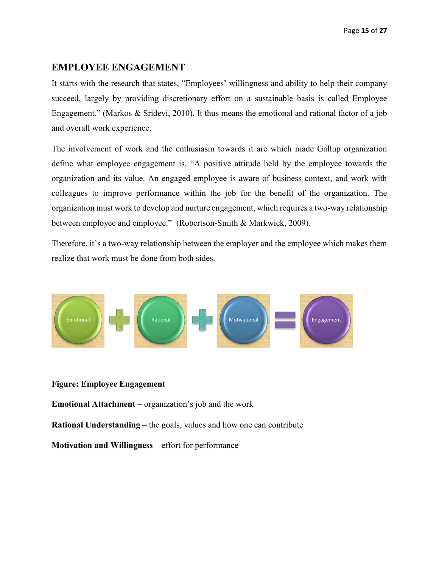## <span id="page-14-0"></span>**EMPLOYEE ENGAGEMENT**

It starts with the research that states, "Employees' willingness and ability to help their company succeed, largely by providing discretionary effort on a sustainable basis is called Employee Engagement." (Markos & Sridevi, 2010). It thus means the emotional and rational factor of a job and overall work experience.

The involvement of work and the enthusiasm towards it are which made Gallup organization define what employee engagement is. "A positive attitude held by the employee towards the organization and its value. An engaged employee is aware of business context, and work with colleagues to improve performance within the job for the benefit of the organization. The organization must work to develop and nurture engagement, which requires a two-way relationship between employee and employee." (Robertson-Smith & Markwick, 2009).

Therefore, it's a two-way relationship between the employer and the employee which makes them realize that work must be done from both sides.



#### **Figure: Employee Engagement**

**Emotional Attachment** – organization's job and the work

**Rational Understanding** – the goals, values and how one can contribute

**Motivation and Willingness** – effort for performance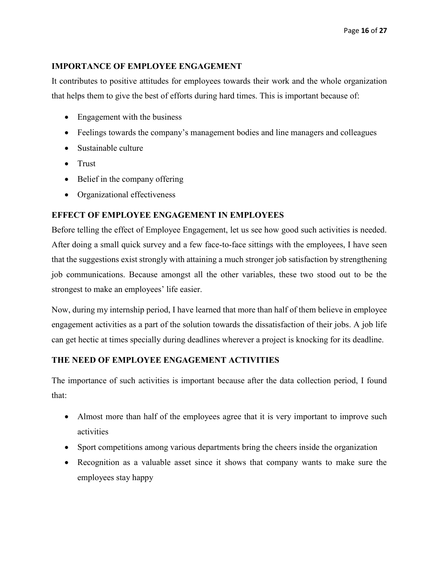## <span id="page-15-0"></span>**IMPORTANCE OF EMPLOYEE ENGAGEMENT**

It contributes to positive attitudes for employees towards their work and the whole organization that helps them to give the best of efforts during hard times. This is important because of:

- Engagement with the business
- Feelings towards the company's management bodies and line managers and colleagues
- Sustainable culture
- Trust
- Belief in the company offering
- Organizational effectiveness

## <span id="page-15-1"></span>**EFFECT OF EMPLOYEE ENGAGEMENT IN EMPLOYEES**

Before telling the effect of Employee Engagement, let us see how good such activities is needed. After doing a small quick survey and a few face-to-face sittings with the employees, I have seen that the suggestions exist strongly with attaining a much stronger job satisfaction by strengthening job communications. Because amongst all the other variables, these two stood out to be the strongest to make an employees' life easier.

Now, during my internship period, I have learned that more than half of them believe in employee engagement activities as a part of the solution towards the dissatisfaction of their jobs. A job life can get hectic at times specially during deadlines wherever a project is knocking for its deadline.

## **THE NEED OF EMPLOYEE ENGAGEMENT ACTIVITIES**

The importance of such activities is important because after the data collection period, I found that:

- Almost more than half of the employees agree that it is very important to improve such activities
- Sport competitions among various departments bring the cheers inside the organization
- Recognition as a valuable asset since it shows that company wants to make sure the employees stay happy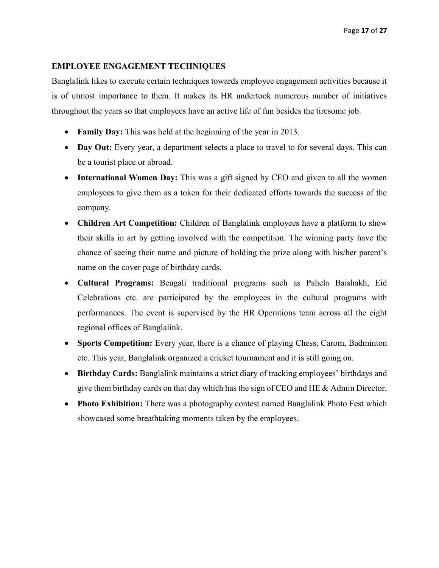#### <span id="page-16-0"></span>**EMPLOYEE ENGAGEMENT TECHNIQUES**

Banglalink likes to execute certain techniques towards employee engagement activities because it is of utmost importance to them. It makes its HR undertook numerous number of initiatives throughout the years so that employees have an active life of fun besides the tiresome job.

- **Family Day:** This was held at the beginning of the year in 2013.
- Day Out: Every year, a department selects a place to travel to for several days. This can be a tourist place or abroad.
- **International Women Day:** This was a gift signed by CEO and given to all the women employees to give them as a token for their dedicated efforts towards the success of the company.
- **Children Art Competition:** Children of Banglalink employees have a platform to show their skills in art by getting involved with the competition. The winning party have the chance of seeing their name and picture of holding the prize along with his/her parent's name on the cover page of birthday cards.
- **Cultural Programs:** Bengali traditional programs such as Pahela Baishakh, Eid Celebrations etc. are participated by the employees in the cultural programs with performances. The event is supervised by the HR Operations team across all the eight regional offices of Banglalink.
- Sports Competition: Every year, there is a chance of playing Chess, Carom, Badminton etc. This year, Banglalink organized a cricket tournament and it is still going on.
- **Birthday Cards:** Banglalink maintains a strict diary of tracking employees' birthdays and give them birthday cards on that day which has the sign of CEO and HE & Admin Director.
- **Photo Exhibition:** There was a photography contest named Banglalink Photo Fest which showcased some breathtaking moments taken by the employees.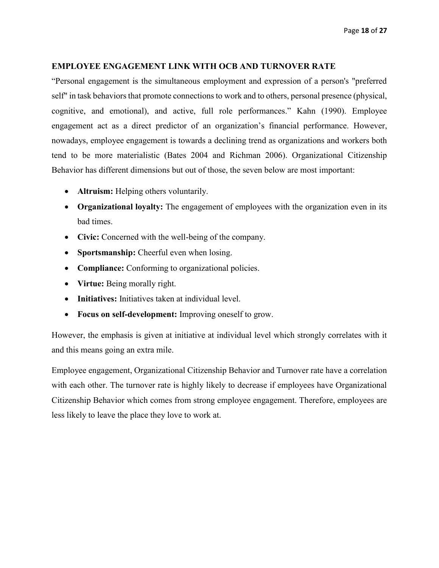#### <span id="page-17-0"></span>**EMPLOYEE ENGAGEMENT LINK WITH OCB AND TURNOVER RATE**

"Personal engagement is the simultaneous employment and expression of a person's "preferred self" in task behaviors that promote connections to work and to others, personal presence (physical, cognitive, and emotional), and active, full role performances." Kahn (1990). Employee engagement act as a direct predictor of an organization's financial performance. However, nowadays, employee engagement is towards a declining trend as organizations and workers both tend to be more materialistic (Bates 2004 and Richman 2006). Organizational Citizenship Behavior has different dimensions but out of those, the seven below are most important:

- **Altruism:** Helping others voluntarily.
- **Organizational loyalty:** The engagement of employees with the organization even in its bad times.
- Civic: Concerned with the well-being of the company.
- **Sportsmanship:** Cheerful even when losing.
- **Compliance:** Conforming to organizational policies.
- **Virtue:** Being morally right.
- **Initiatives:** Initiatives taken at individual level.
- **Focus on self-development:** Improving oneself to grow.

However, the emphasis is given at initiative at individual level which strongly correlates with it and this means going an extra mile.

Employee engagement, Organizational Citizenship Behavior and Turnover rate have a correlation with each other. The turnover rate is highly likely to decrease if employees have Organizational Citizenship Behavior which comes from strong employee engagement. Therefore, employees are less likely to leave the place they love to work at.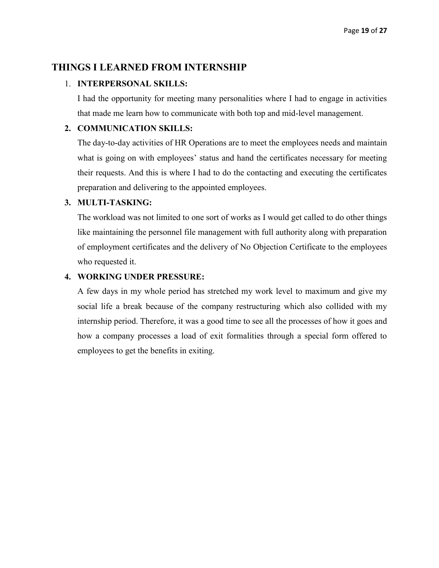## <span id="page-18-0"></span>**THINGS I LEARNED FROM INTERNSHIP**

#### 1. **INTERPERSONAL SKILLS:**

I had the opportunity for meeting many personalities where I had to engage in activities that made me learn how to communicate with both top and mid-level management.

#### **2. COMMUNICATION SKILLS:**

The day-to-day activities of HR Operations are to meet the employees needs and maintain what is going on with employees' status and hand the certificates necessary for meeting their requests. And this is where I had to do the contacting and executing the certificates preparation and delivering to the appointed employees.

#### **3. MULTI-TASKING:**

The workload was not limited to one sort of works as I would get called to do other things like maintaining the personnel file management with full authority along with preparation of employment certificates and the delivery of No Objection Certificate to the employees who requested it.

## **4. WORKING UNDER PRESSURE:**

A few days in my whole period has stretched my work level to maximum and give my social life a break because of the company restructuring which also collided with my internship period. Therefore, it was a good time to see all the processes of how it goes and how a company processes a load of exit formalities through a special form offered to employees to get the benefits in exiting.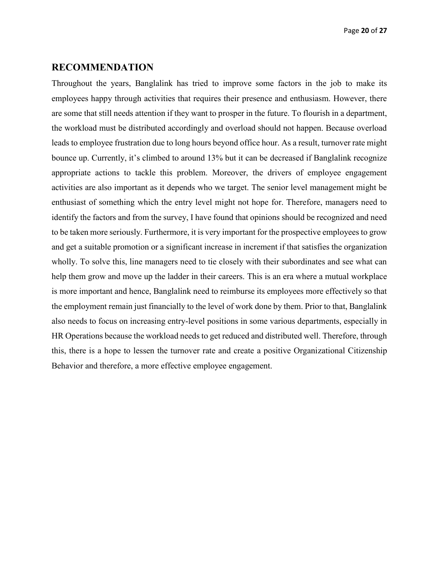#### <span id="page-19-0"></span>**RECOMMENDATION**

Throughout the years, Banglalink has tried to improve some factors in the job to make its employees happy through activities that requires their presence and enthusiasm. However, there are some that still needs attention if they want to prosper in the future. To flourish in a department, the workload must be distributed accordingly and overload should not happen. Because overload leads to employee frustration due to long hours beyond office hour. As a result, turnover rate might bounce up. Currently, it's climbed to around 13% but it can be decreased if Banglalink recognize appropriate actions to tackle this problem. Moreover, the drivers of employee engagement activities are also important as it depends who we target. The senior level management might be enthusiast of something which the entry level might not hope for. Therefore, managers need to identify the factors and from the survey, I have found that opinions should be recognized and need to be taken more seriously. Furthermore, it is very important for the prospective employees to grow and get a suitable promotion or a significant increase in increment if that satisfies the organization wholly. To solve this, line managers need to tie closely with their subordinates and see what can help them grow and move up the ladder in their careers. This is an era where a mutual workplace is more important and hence, Banglalink need to reimburse its employees more effectively so that the employment remain just financially to the level of work done by them. Prior to that, Banglalink also needs to focus on increasing entry-level positions in some various departments, especially in HR Operations because the workload needs to get reduced and distributed well. Therefore, through this, there is a hope to lessen the turnover rate and create a positive Organizational Citizenship Behavior and therefore, a more effective employee engagement.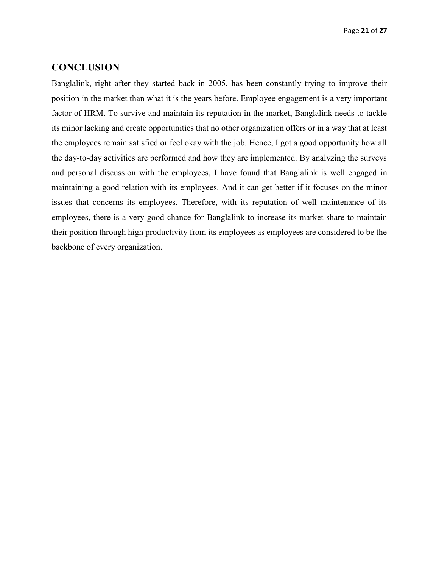### <span id="page-20-0"></span>**CONCLUSION**

Banglalink, right after they started back in 2005, has been constantly trying to improve their position in the market than what it is the years before. Employee engagement is a very important factor of HRM. To survive and maintain its reputation in the market, Banglalink needs to tackle its minor lacking and create opportunities that no other organization offers or in a way that at least the employees remain satisfied or feel okay with the job. Hence, I got a good opportunity how all the day-to-day activities are performed and how they are implemented. By analyzing the surveys and personal discussion with the employees, I have found that Banglalink is well engaged in maintaining a good relation with its employees. And it can get better if it focuses on the minor issues that concerns its employees. Therefore, with its reputation of well maintenance of its employees, there is a very good chance for Banglalink to increase its market share to maintain their position through high productivity from its employees as employees are considered to be the backbone of every organization.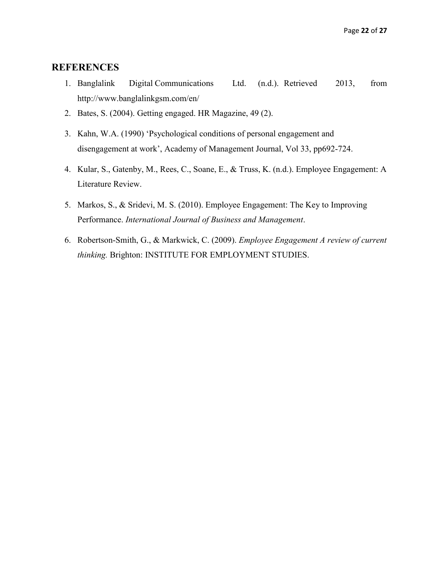## <span id="page-21-0"></span>**REFERENCES**

- 1. Banglalink Digital Communications Ltd. (n.d.). Retrieved 2013, from http://www.banglalinkgsm.com/en/
- 2. Bates, S. (2004). Getting engaged. HR Magazine, 49 (2).
- 3. Kahn, W.A. (1990) 'Psychological conditions of personal engagement and disengagement at work', Academy of Management Journal, Vol 33, pp692-724.
- 4. Kular, S., Gatenby, M., Rees, C., Soane, E., & Truss, K. (n.d.). Employee Engagement: A Literature Review.
- 5. Markos, S., & Sridevi, M. S. (2010). Employee Engagement: The Key to Improving Performance. *International Journal of Business and Management*.
- 6. Robertson-Smith, G., & Markwick, C. (2009). *Employee Engagement A review of current thinking.* Brighton: INSTITUTE FOR EMPLOYMENT STUDIES.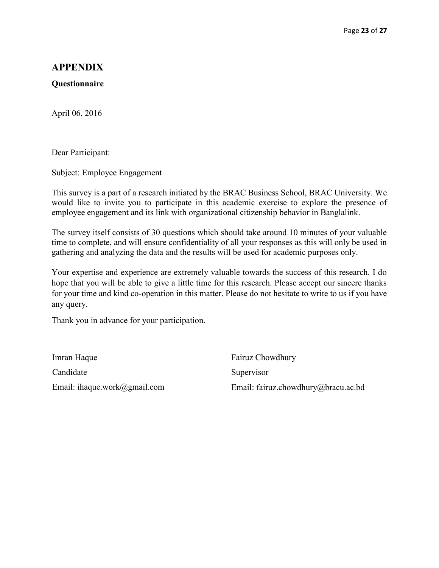## <span id="page-22-0"></span>**APPENDIX**

#### **Questionnaire**

April 06, 2016

Dear Participant:

Subject: Employee Engagement

This survey is a part of a research initiated by the BRAC Business School, BRAC University. We would like to invite you to participate in this academic exercise to explore the presence of employee engagement and its link with organizational citizenship behavior in Banglalink.

The survey itself consists of 30 questions which should take around 10 minutes of your valuable time to complete, and will ensure confidentiality of all your responses as this will only be used in gathering and analyzing the data and the results will be used for academic purposes only.

Your expertise and experience are extremely valuable towards the success of this research. I do hope that you will be able to give a little time for this research. Please accept our sincere thanks for your time and kind co-operation in this matter. Please do not hesitate to write to us if you have any query.

Thank you in advance for your participation.

Imran Haque Candidate Email: ihaque.work@gmail.com

Fairuz Chowdhury **Supervisor** Email: fairuz.chowdhury@bracu.ac.bd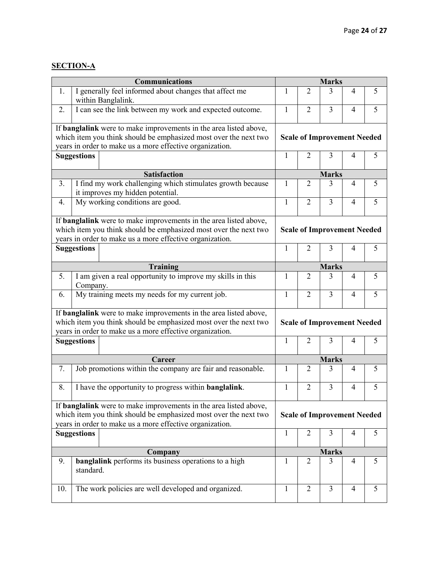## **SECTION-A**

|                | <b>Communications</b>                                                                                                                                                                                    | <b>Marks</b>                       |                                    |                                    |                |   |
|----------------|----------------------------------------------------------------------------------------------------------------------------------------------------------------------------------------------------------|------------------------------------|------------------------------------|------------------------------------|----------------|---|
| 1.             | I generally feel informed about changes that affect me<br>within Banglalink.                                                                                                                             | 1                                  | $\overline{2}$                     | 3                                  | 4              | 5 |
| 2.             | I can see the link between my work and expected outcome.                                                                                                                                                 | $\mathbf{1}$                       | $\overline{2}$                     | $\overline{3}$                     | $\overline{4}$ | 5 |
|                | If banglalink were to make improvements in the area listed above,                                                                                                                                        |                                    |                                    |                                    |                |   |
|                | which item you think should be emphasized most over the next two                                                                                                                                         |                                    |                                    | <b>Scale of Improvement Needed</b> |                |   |
|                | years in order to make us a more effective organization.                                                                                                                                                 |                                    |                                    |                                    |                |   |
|                | <b>Suggestions</b>                                                                                                                                                                                       | 1                                  | $\overline{2}$                     | 3                                  | $\overline{4}$ | 5 |
|                | <b>Satisfaction</b>                                                                                                                                                                                      |                                    | <b>Marks</b>                       |                                    |                |   |
| 3 <sub>1</sub> | I find my work challenging which stimulates growth because                                                                                                                                               | 1                                  | $\overline{2}$                     | 3                                  | 4              | 5 |
|                | it improves my hidden potential.                                                                                                                                                                         |                                    |                                    |                                    |                |   |
| 4.             | My working conditions are good.                                                                                                                                                                          | $\mathbf{1}$                       | $\overline{2}$                     | $\overline{3}$                     | $\overline{4}$ | 5 |
|                | If banglalink were to make improvements in the area listed above,                                                                                                                                        |                                    |                                    |                                    |                |   |
|                | which item you think should be emphasized most over the next two<br>years in order to make us a more effective organization.                                                                             |                                    | <b>Scale of Improvement Needed</b> |                                    |                |   |
|                | <b>Suggestions</b>                                                                                                                                                                                       | $\mathbf{1}$                       | $\overline{2}$                     | 3                                  | 4              | 5 |
|                | <b>Training</b>                                                                                                                                                                                          |                                    |                                    | <b>Marks</b>                       |                |   |
| 5.             | I am given a real opportunity to improve my skills in this<br>Company.                                                                                                                                   | 1                                  | $\overline{2}$                     | 3                                  | 4              | 5 |
| 6.             | My training meets my needs for my current job.                                                                                                                                                           | 1                                  | $\overline{2}$                     | $\overline{3}$                     | $\overline{4}$ | 5 |
|                | If <b>banglalink</b> were to make improvements in the area listed above,                                                                                                                                 |                                    |                                    |                                    |                |   |
|                | which item you think should be emphasized most over the next two<br>years in order to make us a more effective organization.                                                                             | <b>Scale of Improvement Needed</b> |                                    |                                    |                |   |
|                | <b>Suggestions</b>                                                                                                                                                                                       | 1                                  | $\overline{2}$                     | 3                                  | 4              | 5 |
|                |                                                                                                                                                                                                          |                                    |                                    |                                    |                |   |
|                | Career                                                                                                                                                                                                   | <b>Marks</b>                       |                                    |                                    |                |   |
| 7.             | Job promotions within the company are fair and reasonable.                                                                                                                                               | 1                                  | $\overline{2}$                     | 3                                  | 4              | 5 |
| 8.             | I have the opportunity to progress within <b>banglalink</b> .                                                                                                                                            | $\mathbf{1}$                       | $\overline{2}$                     | $\overline{3}$                     | 4              | 5 |
|                | If <b>banglalink</b> were to make improvements in the area listed above,<br>which item you think should be emphasized most over the next two<br>years in order to make us a more effective organization. |                                    | <b>Scale of Improvement Needed</b> |                                    |                |   |
|                | <b>Suggestions</b>                                                                                                                                                                                       | $\mathbf{1}$                       | $\overline{2}$                     | 3                                  | 4              | 5 |
|                | Company                                                                                                                                                                                                  | <b>Marks</b>                       |                                    |                                    |                |   |
| 9.             | <b>banglalink</b> performs its business operations to a high<br>standard.                                                                                                                                | 1                                  | $\overline{2}$                     | 3                                  | 4              | 5 |
| 10.            | The work policies are well developed and organized.                                                                                                                                                      | 1                                  | $\overline{2}$                     | $\overline{3}$                     | $\overline{4}$ | 5 |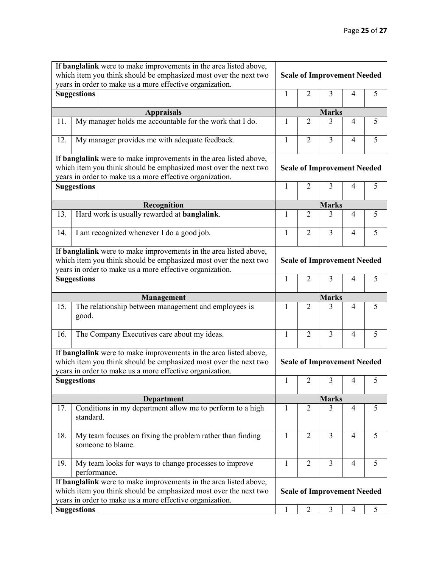|     | If <b>banglalink</b> were to make improvements in the area listed above,                                                                                                                                                       |                                    |                |                                         |                |   |
|-----|--------------------------------------------------------------------------------------------------------------------------------------------------------------------------------------------------------------------------------|------------------------------------|----------------|-----------------------------------------|----------------|---|
|     | which item you think should be emphasized most over the next two                                                                                                                                                               | <b>Scale of Improvement Needed</b> |                |                                         |                |   |
|     | years in order to make us a more effective organization.                                                                                                                                                                       |                                    |                |                                         |                |   |
|     | <b>Suggestions</b>                                                                                                                                                                                                             | 1                                  | $\overline{2}$ | 3                                       | 4              | 5 |
|     | <b>Appraisals</b>                                                                                                                                                                                                              | <b>Marks</b>                       |                |                                         |                |   |
| 11. | My manager holds me accountable for the work that I do.                                                                                                                                                                        | 1                                  | $\overline{2}$ | 3                                       | 4              | 5 |
| 12. | My manager provides me with adequate feedback.                                                                                                                                                                                 | 1                                  | $\overline{2}$ | $\overline{3}$                          | 4              | 5 |
|     | If <b>banglalink</b> were to make improvements in the area listed above,                                                                                                                                                       |                                    |                |                                         |                |   |
|     | which item you think should be emphasized most over the next two<br>years in order to make us a more effective organization.                                                                                                   | <b>Scale of Improvement Needed</b> |                |                                         |                |   |
|     | <b>Suggestions</b>                                                                                                                                                                                                             | $\mathbf{1}$                       | $\overline{2}$ | 3                                       | 4              | 5 |
|     |                                                                                                                                                                                                                                |                                    |                |                                         |                |   |
|     | Recognition                                                                                                                                                                                                                    | <b>Marks</b>                       |                |                                         |                |   |
| 13. | Hard work is usually rewarded at <b>banglalink</b> .                                                                                                                                                                           | 1                                  | $\overline{2}$ | 3                                       | 4              | 5 |
| 14. | I am recognized whenever I do a good job.                                                                                                                                                                                      | $\mathbf{1}$                       | $\overline{2}$ | $\overline{3}$                          | 4              | 5 |
|     | If banglalink were to make improvements in the area listed above,<br>which item you think should be emphasized most over the next two<br>years in order to make us a more effective organization.                              | <b>Scale of Improvement Needed</b> |                |                                         |                |   |
|     | <b>Suggestions</b>                                                                                                                                                                                                             | 1                                  | $\overline{2}$ | 3                                       | 4              | 5 |
|     |                                                                                                                                                                                                                                |                                    |                |                                         |                |   |
|     |                                                                                                                                                                                                                                |                                    |                |                                         |                |   |
| 15. | Management<br>The relationship between management and employees is<br>good.                                                                                                                                                    | 1                                  | $\overline{2}$ | <b>Marks</b><br>3                       | 4              | 5 |
| 16. | The Company Executives care about my ideas.                                                                                                                                                                                    | $\mathbf{1}$                       | $\overline{2}$ | $\overline{3}$                          | $\overline{4}$ | 5 |
|     | If <b>banglalink</b> were to make improvements in the area listed above,<br>which item you think should be emphasized most over the next two                                                                                   |                                    |                | <b>Scale of Improvement Needed</b>      |                |   |
|     | years in order to make us a more effective organization.<br><b>Suggestions</b>                                                                                                                                                 | $\mathbf{1}$                       | 2              | 3                                       | 4              | 5 |
|     |                                                                                                                                                                                                                                |                                    |                |                                         |                |   |
| 17. | Department<br>Conditions in my department allow me to perform to a high<br>standard.                                                                                                                                           | $\mathbf{1}$                       | $\overline{2}$ | <b>Marks</b><br>3                       | 4              | 5 |
| 18. | My team focuses on fixing the problem rather than finding<br>someone to blame.                                                                                                                                                 | $\mathbf{1}$                       | $\overline{2}$ | $\overline{3}$                          | $\overline{4}$ | 5 |
| 19. | My team looks for ways to change processes to improve<br>performance.                                                                                                                                                          | 1                                  | $\overline{2}$ | 3                                       | 4              | 5 |
|     | If <b>banglalink</b> were to make improvements in the area listed above,<br>which item you think should be emphasized most over the next two<br>years in order to make us a more effective organization.<br><b>Suggestions</b> | $\mathbf{1}$                       | $\overline{2}$ | <b>Scale of Improvement Needed</b><br>3 | 4              | 5 |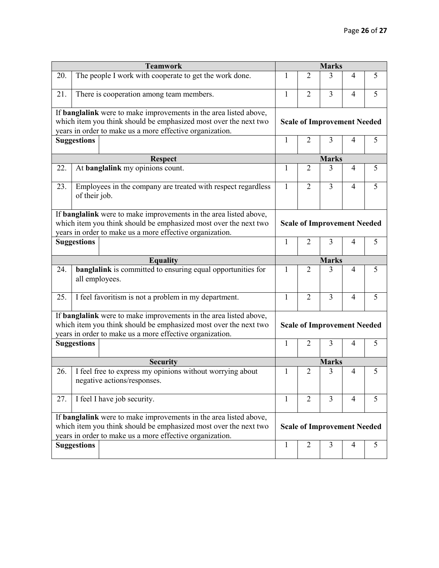|     | <b>Teamwork</b>                                                                                                                                                                                          |              | <b>Marks</b>                       |                |                |   |
|-----|----------------------------------------------------------------------------------------------------------------------------------------------------------------------------------------------------------|--------------|------------------------------------|----------------|----------------|---|
| 20. | The people I work with cooperate to get the work done.                                                                                                                                                   | 1            | $\overline{2}$                     | 3              | $\overline{4}$ | 5 |
| 21. | There is cooperation among team members.                                                                                                                                                                 | 1            | $\overline{2}$                     | 3              | $\overline{4}$ | 5 |
|     | If <b>banglalink</b> were to make improvements in the area listed above,<br>which item you think should be emphasized most over the next two<br>years in order to make us a more effective organization. |              | <b>Scale of Improvement Needed</b> |                |                |   |
|     | <b>Suggestions</b>                                                                                                                                                                                       | $\mathbf{1}$ | $\overline{2}$                     | 3              | 4              | 5 |
|     | <b>Respect</b>                                                                                                                                                                                           |              |                                    | <b>Marks</b>   |                |   |
| 22. | At banglalink my opinions count.                                                                                                                                                                         | 1            | $\overline{2}$                     | 3              | $\overline{4}$ | 5 |
| 23. | Employees in the company are treated with respect regardless<br>of their job.                                                                                                                            | $\mathbf{1}$ | $\overline{2}$                     | $\overline{3}$ | $\overline{4}$ | 5 |
|     | If <b>banglalink</b> were to make improvements in the area listed above,<br>which item you think should be emphasized most over the next two<br>years in order to make us a more effective organization. |              | <b>Scale of Improvement Needed</b> |                |                |   |
|     | <b>Suggestions</b>                                                                                                                                                                                       | $\mathbf{1}$ | 2                                  | 3              | 4              | 5 |
|     | <b>Equality</b>                                                                                                                                                                                          |              |                                    | <b>Marks</b>   |                |   |
| 24. | banglalink is committed to ensuring equal opportunities for<br>all employees.                                                                                                                            | $\mathbf{1}$ | $\overline{2}$                     | 3              | $\overline{4}$ | 5 |
| 25. | I feel favoritism is not a problem in my department.                                                                                                                                                     | $\mathbf{1}$ | $\overline{2}$                     | $\overline{3}$ | $\overline{4}$ | 5 |
|     | If <b>banglalink</b> were to make improvements in the area listed above,<br>which item you think should be emphasized most over the next two<br>years in order to make us a more effective organization. |              | <b>Scale of Improvement Needed</b> |                |                |   |
|     | <b>Suggestions</b>                                                                                                                                                                                       | $\mathbf{1}$ | $\overline{2}$                     | 3              | 4              | 5 |
|     | <b>Security</b>                                                                                                                                                                                          |              | <b>Marks</b>                       |                |                |   |
| 26. | I feel free to express my opinions without worrying about<br>negative actions/responses                                                                                                                  | 1            | $\overline{2}$                     | 3              | $\overline{4}$ | 5 |
| 27. | I feel I have job security.                                                                                                                                                                              | $\mathbf{1}$ | $\overline{2}$                     | $\overline{3}$ | $\overline{4}$ | 5 |
|     | If <b>banglalink</b> were to make improvements in the area listed above,<br>which item you think should be emphasized most over the next two<br>years in order to make us a more effective organization. |              | <b>Scale of Improvement Needed</b> |                |                |   |
|     | <b>Suggestions</b>                                                                                                                                                                                       | $\mathbf{1}$ | 2                                  | 3              | 4              | 5 |